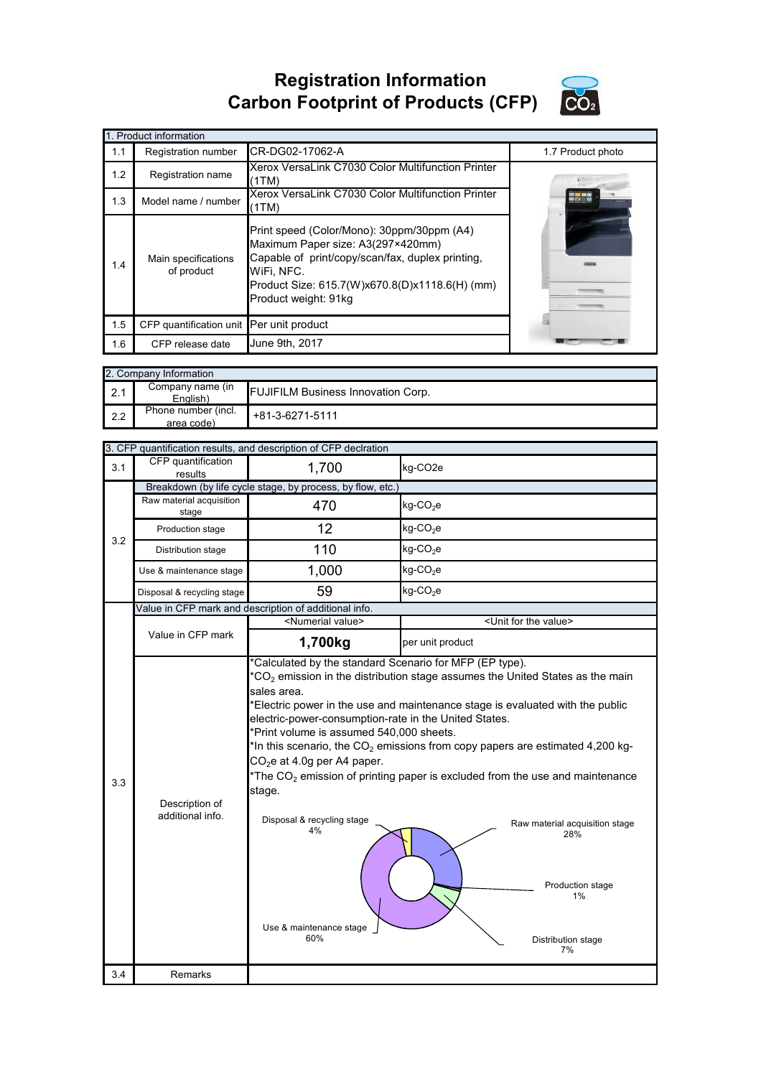## **Registration Information Carbon Footprint of Products (CFP)**



|     | 1. Product information                   |                                                                                                                                                                                                                             |                   |  |  |
|-----|------------------------------------------|-----------------------------------------------------------------------------------------------------------------------------------------------------------------------------------------------------------------------------|-------------------|--|--|
| 1.1 | Registration number                      | CR-DG02-17062-A                                                                                                                                                                                                             | 1.7 Product photo |  |  |
| 1.2 | Registration name                        | Xerox VersaLink C7030 Color Multifunction Printer<br>(1TM)                                                                                                                                                                  |                   |  |  |
| 1.3 | Model name / number                      | Xerox VersaLink C7030 Color Multifunction Printer<br>(1TM)                                                                                                                                                                  |                   |  |  |
| 1.4 | Main specifications<br>of product        | Print speed (Color/Mono): 30ppm/30ppm (A4)<br>Maximum Paper size: A3(297×420mm)<br>Capable of print/copy/scan/fax, duplex printing,<br>WiFi, NFC.<br>Product Size: 615.7(W)x670.8(D)x1118.6(H) (mm)<br>Product weight: 91kg |                   |  |  |
| 1.5 | CFP quantification unit Per unit product |                                                                                                                                                                                                                             |                   |  |  |
| 1.6 | CFP release date                         | June 9th, 2017                                                                                                                                                                                                              |                   |  |  |

| 2. Company Information |                                   |                                           |  |  |
|------------------------|-----------------------------------|-------------------------------------------|--|--|
| 2.1                    | Company name (in<br>English)      | <b>FUJIFILM Business Innovation Corp.</b> |  |  |
| 2.2                    | Phone number (incl.<br>area code) | +81-3-6271-5111                           |  |  |

| 3. CFP quantification results, and description of CFP declration |                                                                                                                                                                                                                                                                                                                                                                                                                                                                                                                                                                                                                                                                            |                                                                                                                                                                |  |  |  |
|------------------------------------------------------------------|----------------------------------------------------------------------------------------------------------------------------------------------------------------------------------------------------------------------------------------------------------------------------------------------------------------------------------------------------------------------------------------------------------------------------------------------------------------------------------------------------------------------------------------------------------------------------------------------------------------------------------------------------------------------------|----------------------------------------------------------------------------------------------------------------------------------------------------------------|--|--|--|
| CFP quantification<br>results                                    | 1,700                                                                                                                                                                                                                                                                                                                                                                                                                                                                                                                                                                                                                                                                      | kg-CO <sub>2</sub> e                                                                                                                                           |  |  |  |
|                                                                  | Breakdown (by life cycle stage, by process, by flow, etc.)                                                                                                                                                                                                                                                                                                                                                                                                                                                                                                                                                                                                                 |                                                                                                                                                                |  |  |  |
| stage                                                            | 470                                                                                                                                                                                                                                                                                                                                                                                                                                                                                                                                                                                                                                                                        | $kg$ -CO <sub>2</sub> e                                                                                                                                        |  |  |  |
| Production stage                                                 | 12                                                                                                                                                                                                                                                                                                                                                                                                                                                                                                                                                                                                                                                                         | $kg$ -CO <sub>2</sub> e                                                                                                                                        |  |  |  |
| Distribution stage                                               | 110                                                                                                                                                                                                                                                                                                                                                                                                                                                                                                                                                                                                                                                                        | $kg$ -CO <sub>2</sub> e                                                                                                                                        |  |  |  |
| Use & maintenance stage                                          | 1,000                                                                                                                                                                                                                                                                                                                                                                                                                                                                                                                                                                                                                                                                      | $kg$ -CO <sub>2</sub> e                                                                                                                                        |  |  |  |
| Disposal & recycling stage                                       | 59                                                                                                                                                                                                                                                                                                                                                                                                                                                                                                                                                                                                                                                                         | $kg$ -CO <sub>2</sub> e                                                                                                                                        |  |  |  |
|                                                                  |                                                                                                                                                                                                                                                                                                                                                                                                                                                                                                                                                                                                                                                                            |                                                                                                                                                                |  |  |  |
|                                                                  |                                                                                                                                                                                                                                                                                                                                                                                                                                                                                                                                                                                                                                                                            | <unit for="" the="" value=""></unit>                                                                                                                           |  |  |  |
| Value in CFP mark                                                | 1,700kg                                                                                                                                                                                                                                                                                                                                                                                                                                                                                                                                                                                                                                                                    | per unit product                                                                                                                                               |  |  |  |
| Description of<br>additional info.                               | *Calculated by the standard Scenario for MFP (EP type).<br>$*CO2$ emission in the distribution stage assumes the United States as the main<br>*Electric power in the use and maintenance stage is evaluated with the public<br>electric-power-consumption-rate in the United States.<br>*Print volume is assumed 540,000 sheets.<br>*In this scenario, the $CO2$ emissions from copy papers are estimated 4,200 kg-<br>*The $CO2$ emission of printing paper is excluded from the use and maintenance<br>Disposal & recycling stage<br>Raw material acquisition stage<br>4%<br>28%<br>Production stage<br>1%<br>Use & maintenance stage<br>60%<br>Distribution stage<br>7% |                                                                                                                                                                |  |  |  |
| Remarks                                                          |                                                                                                                                                                                                                                                                                                                                                                                                                                                                                                                                                                                                                                                                            |                                                                                                                                                                |  |  |  |
|                                                                  | Raw material acquisition                                                                                                                                                                                                                                                                                                                                                                                                                                                                                                                                                                                                                                                   | Value in CFP mark and description of additional info.<br><numerial value=""><br/>sales area.<br/><math>CO2e</math> at 4.0g per A4 paper.<br/>stage.</numerial> |  |  |  |